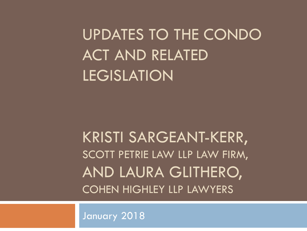UPDATES TO THE CONDO ACT AND RELATED LEGISLATION

KRISTI SARGEANT-KERR, SCOTT PETRIE LAW LLP LAW FIRM, AND LAURA GLITHERO, COHEN HIGHLEY LLP LAWYERS

January 2018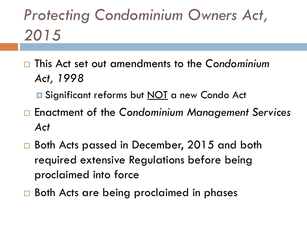# *Protecting Condominium Owners Act, 2015*

- This Act set out amendments to the *Condominium Act, 1998* 
	- **E** Significant reforms but NOT a new Condo Act
- Enactment of the *Condominium Management Services Act*
- □ Both Acts passed in December, 2015 and both required extensive Regulations before being proclaimed into force
- □ Both Acts are being proclaimed in phases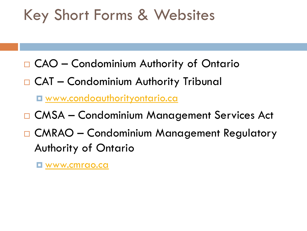#### Key Short Forms & Websites

- CAO Condominium Authority of Ontario
- □ CAT Condominium Authority Tribunal

[www.condoauthorityontario.ca](http://www.condoauthorityontario.ca/)

- □ CMSA Condominium Management Services Act
- □ CMRAO Condominium Management Regulatory Authority of Ontario

[www.cmrao.ca](http://www.cmrao.ca/)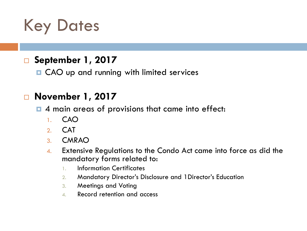### Key Dates

#### **September 1, 2017**

**□ CAO** up and running with limited services

#### **November 1, 2017**

 $\blacksquare$  4 main areas of provisions that came into effect:

- 1. CAO
- 2. CAT
- 3. CMRAO
- 4. Extensive Regulations to the Condo Act came into force as did the mandatory forms related to:
	- 1. Information Certificates
	- 2. Mandatory Director's Disclosure and 1Director's Education
	- 3. Meetings and Voting
	- 4. Record retention and access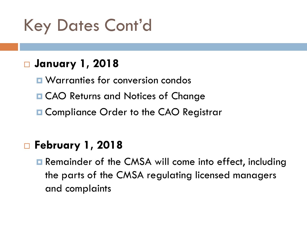Key Dates Cont'd

#### **January 1, 2018**

- **<u>E</u>** Warranties for conversion condos
- **□ CAO Returns and Notices of Change**
- **□ Compliance Order to the CAO Registrar**

#### **February 1, 2018**

**□** Remainder of the CMSA will come into effect, including the parts of the CMSA regulating licensed managers and complaints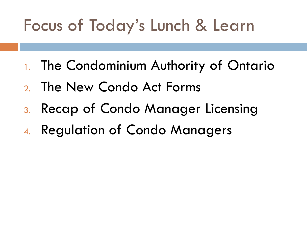# Focus of Today's Lunch & Learn

- 1. The Condominium Authority of Ontario
- 2. The New Condo Act Forms
- 3. Recap of Condo Manager Licensing
- 4. Regulation of Condo Managers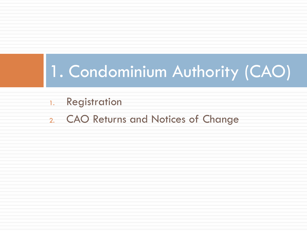### 1. Condominium Authority (CAO)

- 1. Registration
- 2. CAO Returns and Notices of Change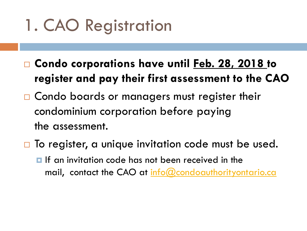# 1. CAO Registration

- **Condo corporations have until Feb. 28, 2018 to register and pay their first assessment to the CAO**
- □ Condo boards or managers must register their condominium corporation before paying the assessment.
- $\Box$  To register, a unique invitation code must be used.  $\blacksquare$  If an invitation code has not been received in the mail, contact the CAO at [info@condoauthorityontario.ca](mailto:info@condoauthorityontario.ca)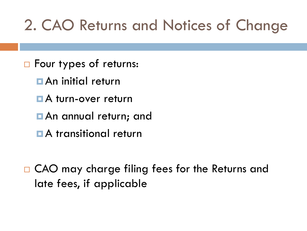### 2. CAO Returns and Notices of Change

- □ Four types of returns:
	- **D** An initial return
	- **A** turn-over return
	- **D** An annual return; and
	- **A** transitional return
- □ CAO may charge filing fees for the Returns and late fees, if applicable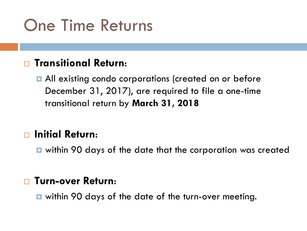## One Time Returns

#### **Transitional Return**:

**All existing condo corporations (created on or before** December 31, 2017), are required to file a one-time transitional return by **March 31, 2018**

#### **Initial Return**:

within 90 days of the date that the corporation was created

#### **Turn-over Return**:

within 90 days of the date of the turn-over meeting.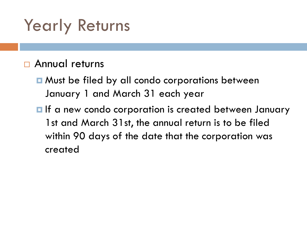# Yearly Returns

#### □ Annual returns

**□** Must be filed by all condo corporations between January 1 and March 31 each year

**If** a new condo corporation is created between January 1st and March 31st, the annual return is to be filed within 90 days of the date that the corporation was created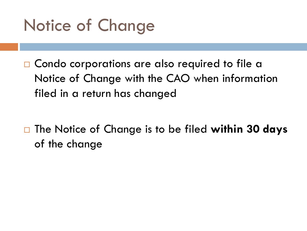

□ Condo corporations are also required to file a Notice of Change with the CAO when information filed in a return has changed

□ The Notice of Change is to be filed within 30 days of the change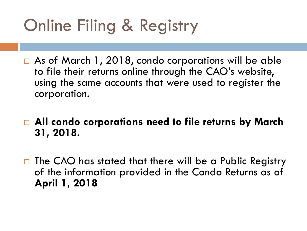# Online Filing & Registry

- □ As of March 1, 2018, condo corporations will be able to file their returns online through the CAO's website, using the same accounts that were used to register the corporation.
- **All condo corporations need to file returns by March 31, 2018.**
- $\Box$  The CAO has stated that there will be a Public Registry of the information provided in the Condo Returns as of **April 1, 2018**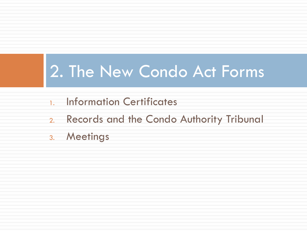### 2. The New Condo Act Forms

- 1. Information Certificates
- 2. Records and the Condo Authority Tribunal
- 3. Meetings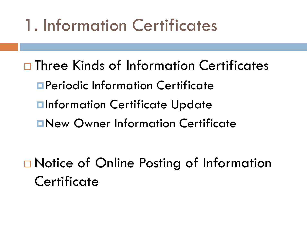# 1. Information Certificates

□ Three Kinds of Information Certificates Periodic Information Certificate **Elnformation Certificate Update** New Owner Information Certificate

□ Notice of Online Posting of Information **Certificate**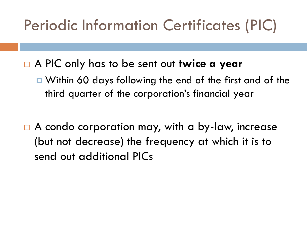#### Periodic Information Certificates (PIC)

- A PIC only has to be sent out **twice a year**
	- $\blacksquare$  Within 60 days following the end of the first and of the third quarter of the corporation's financial year
- □ A condo corporation may, with a by-law, increase (but not decrease) the frequency at which it is to send out additional PICs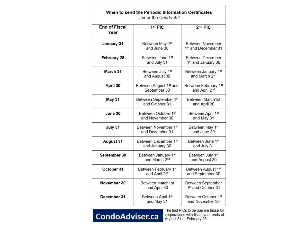| Under the Condo Act          |                                                    |                                                     |
|------------------------------|----------------------------------------------------|-----------------------------------------------------|
| <b>End of Fiscal</b><br>Year | 1 <sup>st</sup> PIC                                | $2nd$ PIC                                           |
| January 31                   | Between May 1st<br>and June 30                     | Between November<br>1 <sup>st</sup> and December 31 |
| February 28                  | Between June 1st<br>and July 31                    | Between December<br>1 <sup>st</sup> and January 30  |
| March 31                     | Between July 1st<br>and August 30                  | Between January 1st<br>and March 2nd                |
| April 30                     | Between August 1 <sup>st</sup> and<br>September 30 | Between February 1st<br>and April 2nd               |
| May 31                       | Between September 1st<br>and October 31            | Between March1st<br>and April 30                    |
| June 30                      | Between October 1st<br>and November 30             | Between April 1st<br>and May 31                     |
| July 31                      | Between November 1st<br>and December 31            | Between May 1st<br>and June 30                      |
| August 31                    | Between December 1st<br>and January 30             | Between June 1st<br>and July 31                     |
| September 30                 | Between January 1st<br>and March 2nd               | Between July 1st<br>and August 30                   |
| October 31                   | Between February 1st<br>and April 2nd              | Between August 1st<br>and September 30              |
| November 30                  | Between March1st<br>and April 30                   | Between September<br>1 <sup>st</sup> and October 31 |
| December 31                  | Between April 1st<br>and May 31                    | Between October 1st<br>and November 30              |

#### CondoAdviser.ca

The first PICs to be due are those for corporations with fiscal year ends of<br>August 31 or February 28.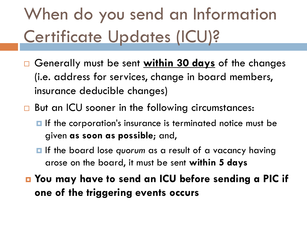# When do you send an Information Certificate Updates (ICU)?

- Generally must be sent **within 30 days** of the changes (i.e. address for services, change in board members, insurance deducible changes)
- □ But an ICU sooner in the following circumstances:
	- $\blacksquare$  If the corporation's insurance is terminated notice must be given **as soon as possible**; and,
	- **If the board lose quorum as a result of a vacancy having** arose on the board, it must be sent **within 5 days**
- **You may have to send an ICU before sending a PIC if one of the triggering events occurs**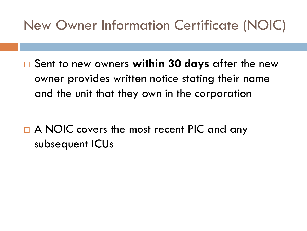#### New Owner Information Certificate (NOIC)

□ Sent to new owners within 30 days after the new owner provides written notice stating their name and the unit that they own in the corporation

□ A NOIC covers the most recent PIC and any subsequent ICUs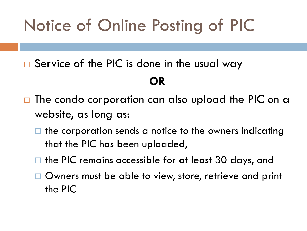# Notice of Online Posting of PIC

 $\square$  Service of the PIC is done in the usual way

#### **OR**

- $\Box$  The condo corporation can also upload the PIC on a website, as long as:
	- the corporation sends a notice to the owners indicating that the PIC has been uploaded,
	- $\Box$  the PIC remains accessible for at least 30 days, and
	- □ Owners must be able to view, store, retrieve and print the PIC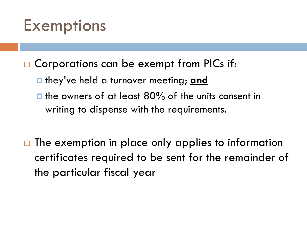### Exemptions

- □ Corporations can be exempt from PICs if:
	- **E** they've held a turnover meeting; **and**
	- $\blacksquare$  the owners of at least 80% of the units consent in writing to dispense with the requirements.
- $\Box$  The exemption in place only applies to information certificates required to be sent for the remainder of the particular fiscal year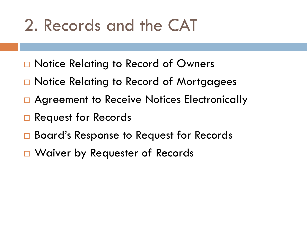## 2. Records and the CAT

- □ Notice Relating to Record of Owners
- □ Notice Relating to Record of Mortgagees
- □ Agreement to Receive Notices Electronically
- **□ Request for Records**
- **□ Board's Response to Request for Records**
- □ Waiver by Requester of Records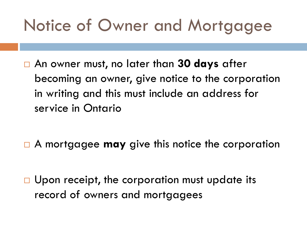# Notice of Owner and Mortgagee

 An owner must, no later than **30 days** after becoming an owner, give notice to the corporation in writing and this must include an address for service in Ontario

A mortgagee **may** give this notice the corporation

 $\Box$  Upon receipt, the corporation must update its record of owners and mortgagees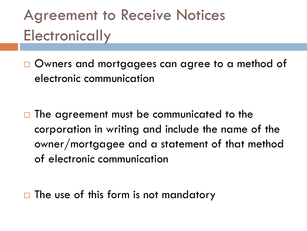## Agreement to Receive Notices **Electronically**

□ Owners and mortgagees can agree to a method of electronic communication

 $\Box$  The agreement must be communicated to the corporation in writing and include the name of the owner/mortgagee and a statement of that method of electronic communication

 $\Box$  The use of this form is not mandatory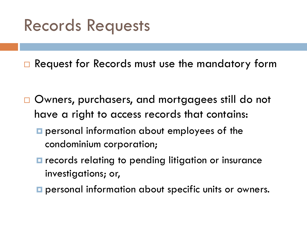### Records Requests

□ Request for Records must use the mandatory form

- □ Owners, purchasers, and mortgagees still do not have a right to access records that contains:
	- **personal information about employees of the** condominium corporation;
	- **E** records relating to pending litigation or insurance investigations; or,
	- **p** personal information about specific units or owners.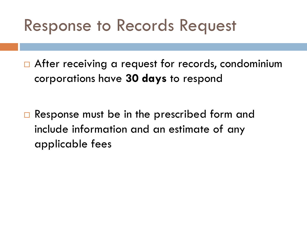### Response to Records Request

□ After receiving a request for records, condominium corporations have **30 days** to respond

 $\Box$  Response must be in the prescribed form and include information and an estimate of any applicable fees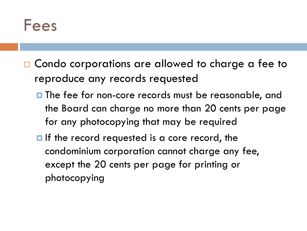#### Fees

- □ Condo corporations are allowed to charge a fee to reproduce any records requested
	- **The fee for non-core records must be reasonable, and** the Board can charge no more than 20 cents per page for any photocopying that may be required
	- **If** the record requested is a core record, the condominium corporation cannot charge any fee, except the 20 cents per page for printing or photocopying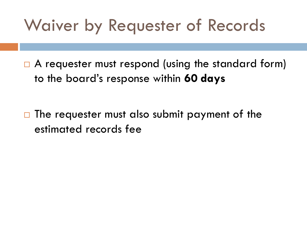### Waiver by Requester of Records

□ A requester must respond (using the standard form) to the board's response within **60 days**

 $\Box$  The requester must also submit payment of the estimated records fee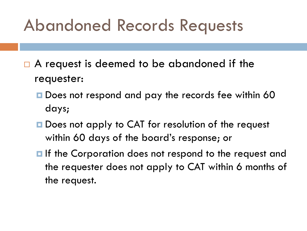### Abandoned Records Requests

- $\Box$  A request is deemed to be abandoned if the requester:
	- Does not respond and pay the records fee within 60 days;
	- Does not apply to CAT for resolution of the request within 60 days of the board's response; or
	- **If the Corporation does not respond to the request and** the requester does not apply to CAT within 6 months of the request.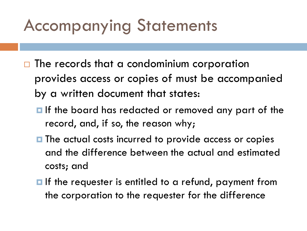# Accompanying Statements

- $\Box$  The records that a condominium corporation provides access or copies of must be accompanied by a written document that states:
	- $\blacksquare$  If the board has redacted or removed any part of the record, and, if so, the reason why;
	- **The actual costs incurred to provide access or copies** and the difference between the actual and estimated costs; and
	- $\blacksquare$  If the requester is entitled to a refund, payment from the corporation to the requester for the difference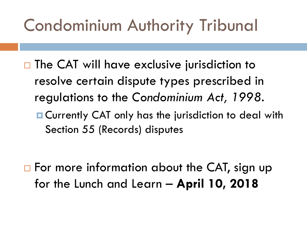# Condominium Authority Tribunal

- $\Box$  The CAT will have exclusive jurisdiction to resolve certain dispute types prescribed in regulations to the *Condominium Act, 1998*.
	- **E** Currently CAT only has the jurisdiction to deal with Section 55 (Records) disputes

 $\Box$  For more information about the CAT, sign up for the Lunch and Learn – **April 10, 2018**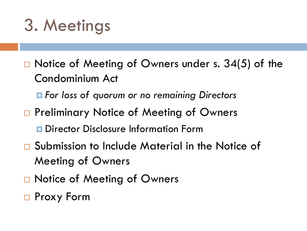# 3. Meetings

- $\Box$  Notice of Meeting of Owners under s. 34(5) of the Condominium Act
	- *For loss of quorum or no remaining Directors*
- □ Preliminary Notice of Meeting of Owners
	- **D** Director Disclosure Information Form
- □ Submission to Include Material in the Notice of Meeting of Owners
- □ Notice of Meeting of Owners
- □ Proxy Form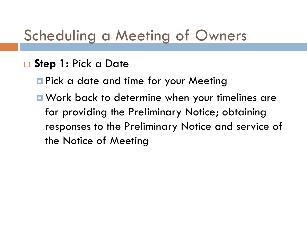#### Scheduling a Meeting of Owners

#### **Step 1:** Pick a Date

**Pick a date and time for your Meeting** 

■ Work back to determine when your timelines are for providing the Preliminary Notice; obtaining responses to the Preliminary Notice and service of the Notice of Meeting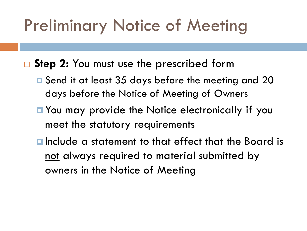## Preliminary Notice of Meeting

■ Step 2: You must use the prescribed form

- **□** Send it at least 35 days before the meeting and 20 days before the Notice of Meeting of Owners
- You may provide the Notice electronically if you meet the statutory requirements
- **E** Include a statement to that effect that the Board is not always required to material submitted by owners in the Notice of Meeting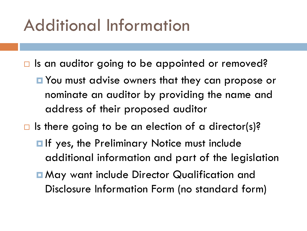### Additional Information

- $\Box$  Is an auditor going to be appointed or removed?
	- **D** You must advise owners that they can propose or nominate an auditor by providing the name and address of their proposed auditor
- $\Box$  Is there going to be an election of a director(s)?
	- **If yes, the Preliminary Notice must include** additional information and part of the legislation
	- **n May want include Director Qualification and** Disclosure Information Form (no standard form)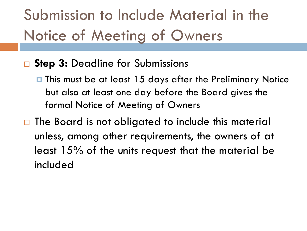# Submission to Include Material in the Notice of Meeting of Owners

#### □ Step 3: Deadline for Submissions

- This must be at least 15 days after the Preliminary Notice but also at least one day before the Board gives the formal Notice of Meeting of Owners
- $\Box$  The Board is not obligated to include this material unless, among other requirements, the owners of at least 15% of the units request that the material be included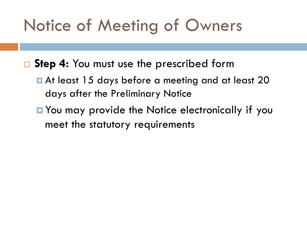# Notice of Meeting of Owners

■ Step 4: You must use the prescribed form

- At least 15 days before a meeting and at least 20 days after the Preliminary Notice
- You may provide the Notice electronically if you meet the statutory requirements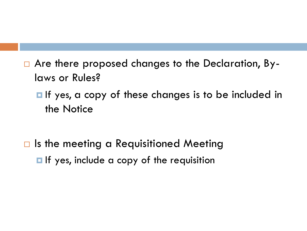- Are there proposed changes to the Declaration, Bylaws or Rules?
	- **If** yes, a copy of these changes is to be included in the Notice

 $\Box$  Is the meeting a Requisitioned Meeting **If** yes, include a copy of the requisition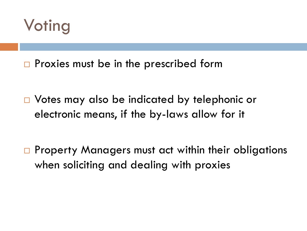

 $\Box$  Proxies must be in the prescribed form

□ Votes may also be indicated by telephonic or electronic means, if the by-laws allow for it

□ Property Managers must act within their obligations when soliciting and dealing with proxies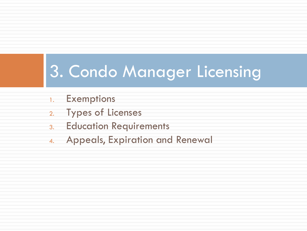# 3. Condo Manager Licensing

- 1. Exemptions
- 2. Types of Licenses
- 3. Education Requirements
- 4. Appeals, Expiration and Renewal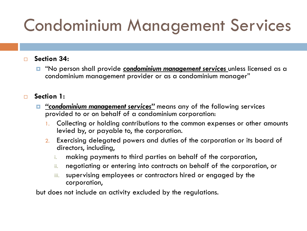# Condominium Management Services

#### **Section 34:**

 "No person shall provide *condominium management services* unless licensed as a condominium management provider or as a condominium manager"

#### **Section 1:**

- *"condominium management services"* means any of the following services provided to or on behalf of a condominium corporation:
	- 1. Collecting or holding contributions to the common expenses or other amounts levied by, or payable to, the corporation.
	- 2. Exercising delegated powers and duties of the corporation or its board of directors, including,
		- i. making payments to third parties on behalf of the corporation,
		- ii. negotiating or entering into contracts on behalf of the corporation, or
		- iii. supervising employees or contractors hired or engaged by the corporation,

but does not include an activity excluded by the regulations.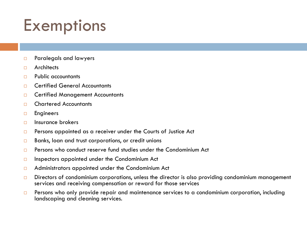# **Exemptions**

- **Paralegals and lawyers**
- **D** Architects
- $\neg$  Public accountants
- □ Certified General Accountants
- **D** Certified Management Accountants
- Chartered Accountants
- **Engineers**
- $\Box$  Insurance brokers
- $\square$  Persons appointed as a receiver under the Courts of Justice Act
- $\Box$  Banks, loan and trust corporations, or credit unions
- $\Box$  Persons who conduct reserve fund studies under the Condominium Act
- $\Box$  Inspectors appointed under the Condominium Act
- **E** Administrators appointed under the Condominium Act
- $\Box$  Directors of condominium corporations, unless the director is also providing condominium management services and receiving compensation or reward for those services
- $\Box$  Persons who only provide repair and maintenance services to a condominium corporation, including landscaping and cleaning services.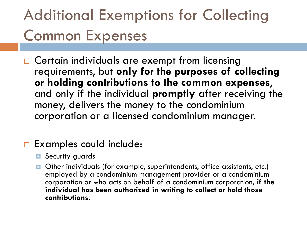# Additional Exemptions for Collecting Common Expenses

□ Certain individuals are exempt from licensing requirements, but **only for the purposes of collecting or holding contributions to the common expenses**, and only if the individual **promptly** after receiving the money, delivers the money to the condominium corporation or a licensed condominium manager.

#### □ Examples could include:

- **<u>E</u>** Security guards
- Other individuals (for example, superintendents, office assistants, etc.) employed by a condominium management provider or a condominium corporation or who acts on behalf of a condominium corporation, **if the individual has been authorized in writing to collect or hold those contributions.**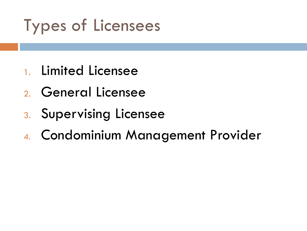# Types of Licensees

- 1. Limited Licensee
- 2. General Licensee
- 3. Supervising Licensee
- 4. Condominium Management Provider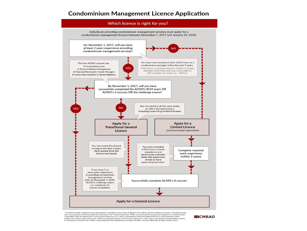#### **Condominium Management Licence Application**



\* Activities include: a) planned and participated in meetings of the board of directors of a client, and b) meetings of owners, including at least one annual general meeting within the meaning of the Condominium Act, 1998; c) participated in preparing a budget for a condominium corporation that you presented to the board of directors of a client; d) interpreted finan section 66 of the Condominium Act, 1998 and presented them to the board of directors of the client; e) prepared and presented reports<br>to the board of directors of a client; and f) overseen the maintenance or repair of unit

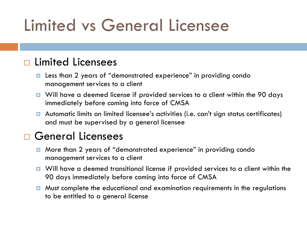# Limited vs General Licensee

#### □ Limited Licensees

- Less than 2 years of "demonstrated experience" in providing condo management services to a client
- Will have a deemed license if provided services to a client within the 90 days immediately before coming into force of CMSA
- Automatic limits on limited licensee's activities (i.e. can't sign status certificates) and must be supervised by a general licensee

#### □ General Licensees

- More than 2 years of "demonstrated experience" in providing condo management services to a client
- Will have a deemed transitional license if provided services to a client within the 90 days immediately before coming into force of CMSA
- **D** Must complete the educational and examination requirements in the regulations to be entitled to a general license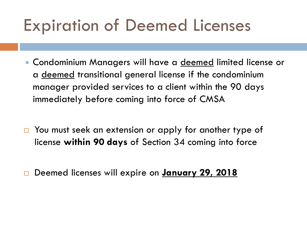## Expiration of Deemed Licenses

- **Condominium Managers will have a <u>deemed</u> limited license or** a deemed transitional general license if the condominium manager provided services to a client within the 90 days immediately before coming into force of CMSA
- □ You must seek an extension or apply for another type of license **within 90 days** of Section 34 coming into force
- Deemed licenses will expire on **January 29, 2018**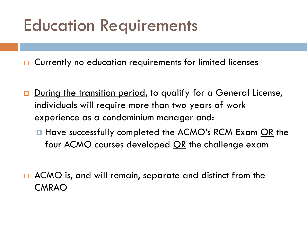# Education Requirements

□ Currently no education requirements for limited licenses

- During the transition period, to qualify for a General License, individuals will require more than two years of work experience as a condominium manager and:
	- **Have successfully completed the ACMO's RCM Exam OR the** four ACMO courses developed  $OR$  the challenge exam
- □ ACMO is, and will remain, separate and distinct from the CMRAO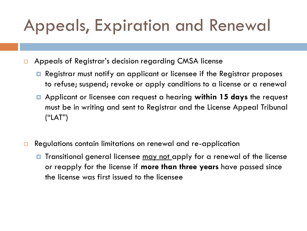# Appeals, Expiration and Renewal

- □ Appeals of Registrar's decision regarding CMSA license
	- Registrar must notify an applicant or licensee if the Registrar proposes to refuse; suspend; revoke or apply conditions to a license or a renewal
	- Applicant or licensee can request a hearing **within 15 days** the request must be in writing and sent to Registrar and the License Appeal Tribunal ("LAT")
- □ Regulations contain limitations on renewal and re-application
	- **T** Transitional general licensee may not apply for a renewal of the license or reapply for the license if **more than three years** have passed since the license was first issued to the licensee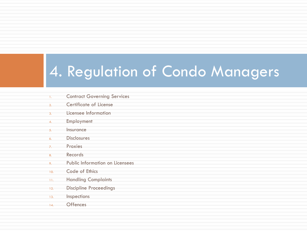### 4. Regulation of Condo Managers

- 1. Contract Governing Services
- 2. Certificate of License
- 3. Licensee Information
- 4. Employment
- 5. Insurance
- 6. Disclosures
- 7. Proxies
- 8. Records
- 9. Public Information on Licensees
- 10. Code of Ethics
- 11. Handling Complaints
- 12. Discipline Proceedings
- 13. **Inspections**
- 14. Offences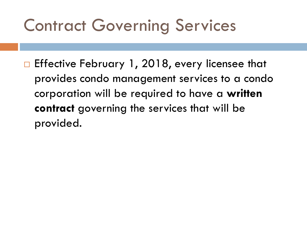# Contract Governing Services

□ Effective February 1, 2018, every licensee that provides condo management services to a condo corporation will be required to have a **written contract** governing the services that will be provided.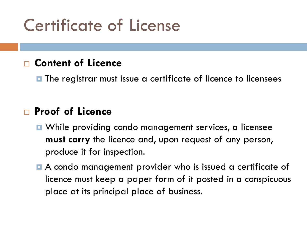# Certificate of License

### **Content of Licence**

 $\blacksquare$  The registrar must issue a certificate of licence to licensees

#### **Proof of Licence**

- **D** While providing condo management services, a licensee **must carry** the licence and, upon request of any person, produce it for inspection.
- A condo management provider who is issued a certificate of licence must keep a paper form of it posted in a conspicuous place at its principal place of business.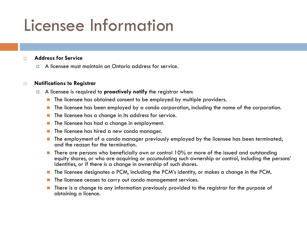## Licensee Information

#### **Address for Service**

A licensee must maintain an Ontario address for service.

#### **Notifications to Registrar**

- A licensee is required to **proactively notify** the registrar when:
	- **The licensee has obtained consent to be employed by multiple providers.**
	- The licensee has been employed by a condo corporation, including the name of the corporation.
	- The licensee has a change in its address for service.
	- $\blacksquare$  The licensee has had a change in employment.
	- **The licensee has hired a new condo manager.**
	- **The employment of a condo manager previously employed by the licensee has been terminated,** and the reason for the termination.
	- $\blacksquare$  There are persons who beneficially own or control 10% or more of the issued and outstanding equity shares, or who are acquiring or accumulating such ownership or control, including the persons' identities, or if there is a change in ownership of such shares.
	- **The licensee designates a PCM, including the PCM's identity, or makes a change in the PCM.**
	- **The licensee ceases to carry out condo management services.**
	- There is a change to any information previously provided to the registrar for the purpose of obtaining a licence.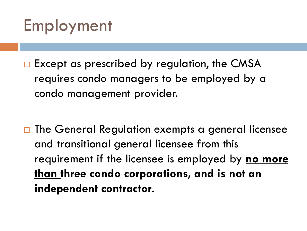

 $\Box$  Except as prescribed by regulation, the CMSA requires condo managers to be employed by a condo management provider.

□ The General Regulation exempts a general licensee and transitional general licensee from this requirement if the licensee is employed by **no more than three condo corporations, and is not an independent contractor**.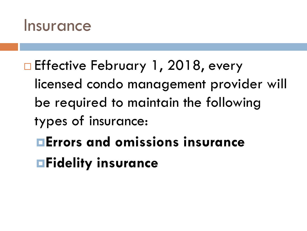

- □ Effective February 1, 2018, every licensed condo management provider will be required to maintain the following types of insurance: **Errors and omissions insurance**
	- **Fidelity insurance**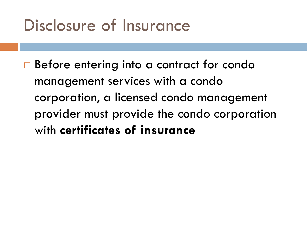## Disclosure of Insurance

□ Before entering into a contract for condo management services with a condo corporation, a licensed condo management provider must provide the condo corporation with **certificates of insurance**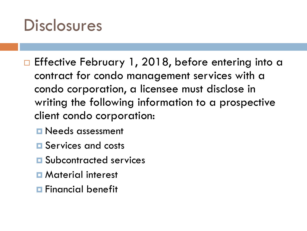### **Disclosures**

- □ Effective February 1, 2018, before entering into a contract for condo management services with a condo corporation, a licensee must disclose in writing the following information to a prospective client condo corporation:
	- **Needs assessment**
	- **E** Services and costs
	- **E** Subcontracted services
	- **D** Material interest
	- **Financial benefit**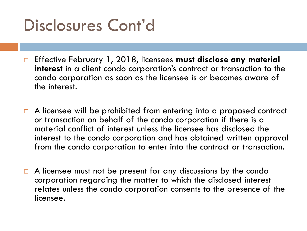# Disclosures Cont'd

- Effective February 1, 2018, licensees **must disclose any material interest** in a client condo corporation's contract or transaction to the condo corporation as soon as the licensee is or becomes aware of the interest.
- $\Box$  A licensee will be prohibited from entering into a proposed contract or transaction on behalf of the condo corporation if there is a material conflict of interest unless the licensee has disclosed the interest to the condo corporation and has obtained written approval from the condo corporation to enter into the contract or transaction.
- $\Box$  A licensee must not be present for any discussions by the condo corporation regarding the matter to which the disclosed interest relates unless the condo corporation consents to the presence of the licensee.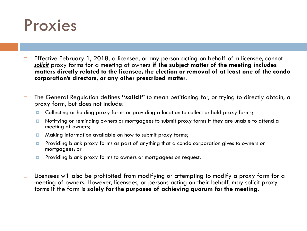

- **Effective February 1, 2018, a licensee, or any person acting on behalf of a licensee, cannot** *solicit* proxy forms for a meeting of owners **if the subject matter of the meeting includes matters directly related to the licensee, the election or removal of at least one of the condo corporation's directors, or any other prescribed matter**.
- The General Regulation defines **"solicit"** to mean petitioning for, or trying to directly obtain, a proxy form, but does not include:
	- Collecting or holding proxy forms or providing a location to collect or hold proxy forms;
	- Notifying or reminding owners or mortgagees to submit proxy forms if they are unable to attend a meeting of owners;
	- **E** Making information available on how to submit proxy forms;
	- **Providing blank proxy forms as part of anything that a condo corporation gives to owners or** mortgagees; or
	- **P** Providing blank proxy forms to owners or mortgagees on request.
- $\square$  Licensees will also be prohibited from modifying or attempting to modify a proxy form for a meeting of owners. However, licensees, or persons acting on their behalf, may solicit proxy forms if the form is **solely for the purposes of achieving quorum for the meeting**.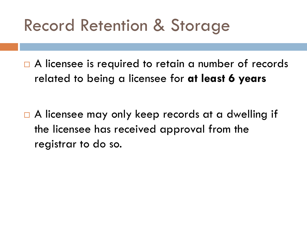## Record Retention & Storage

□ A licensee is required to retain a number of records related to being a licensee for **at least 6 years**

□ A licensee may only keep records at a dwelling if the licensee has received approval from the registrar to do so.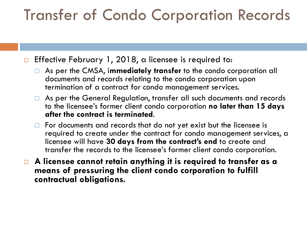### Transfer of Condo Corporation Records

 $\Box$  Effective February 1, 2018, a licensee is required to:

- As per the CMSA, i**mmediately transfer** to the condo corporation all documents and records relating to the condo corporation upon termination of a contract for condo management services.
- □ As per the General Regulation, transfer all such documents and records to the licensee's former client condo corporation **no later than 15 days after the contract is terminated**.
- $\Box$  For documents and records that do not yet exist but the licensee is required to create under the contract for condo management services, a licensee will have **30 days from the contract's end** to create and transfer the records to the licensee's former client condo corporation.
- **A licensee cannot retain anything it is required to transfer as a means of pressuring the client condo corporation to fulfill contractual obligations.**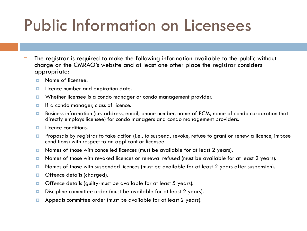# Public Information on Licensees

- $\Box$  The registrar is required to make the following information available to the public without charge on the CMRAO's website and at least one other place the registrar considers appropriate:
	- $\Box$  Name of licensee.
	- **Licence number and expiration date.**
	- **D** Whether licensee is a condo manager or condo management provider.
	- If a condo manager, class of licence.
	- Business information (i.e. address, email, phone number, name of PCM, name of condo corporation that directly employs licensee) for condo managers and condo management providers.
	- **L** Licence conditions.
	- **P** Proposals by registrar to take action (i.e., to suspend, revoke, refuse to grant or renew a licence, impose conditions) with respect to an applicant or licensee.
	- Names of those with cancelled licences (must be available for at least 2 years).
	- Names of those with revoked licences or renewal refused (must be available for at least 2 years).
	- **D** Names of those with suspended licences (must be available for at least 2 years after suspension).
	- **D** Offence details (charged).
	- $\Box$  Offence details (guilty-must be available for at least 5 years).
	- D Discipline committee order (must be available for at least 2 years).
	- Appeals committee order (must be available for at least 2 years).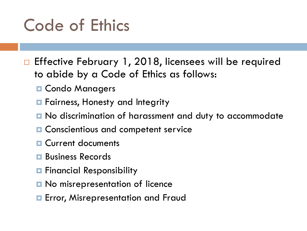# Code of Ethics

□ Effective February 1, 2018, licensees will be required to abide by a Code of Ethics as follows:

- **D** Condo Managers
- **Fairness, Honesty and Integrity**
- **n** No discrimination of harassment and duty to accommodate
- **O** Conscientious and competent service
- **D** Current documents
- **Business Records**
- **Financial Responsibility**
- **D** No misrepresentation of licence
- **Example Figure** Error, Misrepresentation and Fraud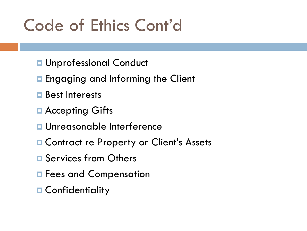# Code of Ethics Cont'd

- **<u>n</u>** Unprofessional Conduct
- **Engaging and Informing the Client**
- **Best Interests**
- **E** Accepting Gifts
- **u** Unreasonable Interference
- **E Contract re Property or Client's Assets**
- **E** Services from Others
- **E** Fees and Compensation
- **n** Confidentiality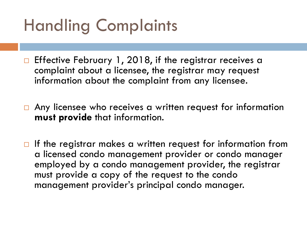# Handling Complaints

- □ Effective February 1, 2018, if the registrar receives a complaint about a licensee, the registrar may request information about the complaint from any licensee.
- □ Any licensee who receives a written request for information **must provide** that information.
- $\Box$  If the registrar makes a written request for information from a licensed condo management provider or condo manager employed by a condo management provider, the registrar must provide a copy of the request to the condo management provider's principal condo manager.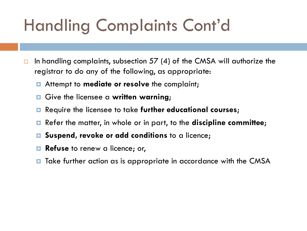# Handling Complaints Cont'd

- $\Box$  In handling complaints, subsection 57 (4) of the CMSA will authorize the registrar to do any of the following, as appropriate:
	- Attempt to **mediate or resolve** the complaint;
	- Give the licensee a **written warning**;
	- Require the licensee to take **further educational courses**;
	- Refer the matter, in whole or in part, to the **discipline committee**;
	- **Suspend, revoke or add conditions** to a licence;
	- **Refuse** to renew a licence; or,
	- Take further action as is appropriate in accordance with the CMSA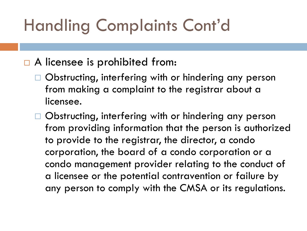# Handling Complaints Cont'd

### □ A licensee is prohibited from:

- □ Obstructing, interfering with or hindering any person from making a complaint to the registrar about a licensee.
- □ Obstructing, interfering with or hindering any person from providing information that the person is authorized to provide to the registrar, the director, a condo corporation, the board of a condo corporation or a condo management provider relating to the conduct of a licensee or the potential contravention or failure by any person to comply with the CMSA or its regulations.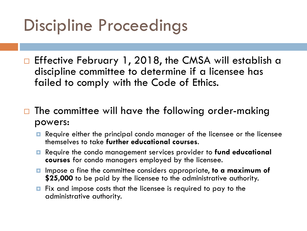# Discipline Proceedings

□ Effective February 1, 2018, the CMSA will establish a discipline committee to determine if a licensee has failed to comply with the Code of Ethics.

 The committee will have the following order-making powers:

- Require either the principal condo manager of the licensee or the licensee themselves to take **further educational courses**.
- Require the condo management services provider to **fund educational courses** for condo managers employed by the licensee.
- Impose a fine the committee considers appropriate, **to a maximum of \$25,000** to be paid by the licensee to the administrative authority.
- Fix and impose costs that the licensee is required to pay to the administrative authority.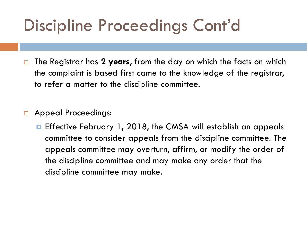# Discipline Proceedings Cont'd

- The Registrar has **2 years**, from the day on which the facts on which the complaint is based first came to the knowledge of the registrar, to refer a matter to the discipline committee.
- □ Appeal Proceedings:
	- **E** Effective February 1, 2018, the CMSA will establish an appeals committee to consider appeals from the discipline committee. The appeals committee may overturn, affirm, or modify the order of the discipline committee and may make any order that the discipline committee may make.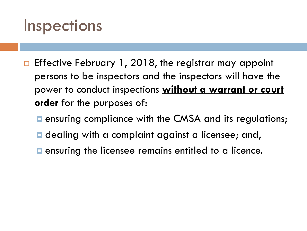### **Inspections**

- $\Box$  Effective February 1, 2018, the registrar may appoint persons to be inspectors and the inspectors will have the power to conduct inspections **without a warrant or court order** for the purposes of:
	- **E** ensuring compliance with the CMSA and its regulations;
	- **D** dealing with a complaint against a licensee; and,
	- **E** ensuring the licensee remains entitled to a licence.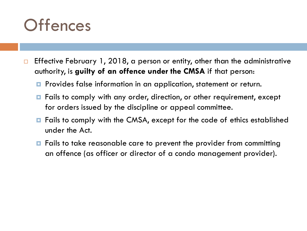### **Offences**

- $\Box$  Effective February 1, 2018, a person or entity, other than the administrative authority, is **guilty of an offence under the CMSA** if that person:
	- **P** Provides false information in an application, statement or return.
	- $\blacksquare$  Fails to comply with any order, direction, or other requirement, except for orders issued by the discipline or appeal committee.
	- Fails to comply with the CMSA, except for the code of ethics established under the Act.
	- **□** Fails to take reasonable care to prevent the provider from committing an offence (as officer or director of a condo management provider).